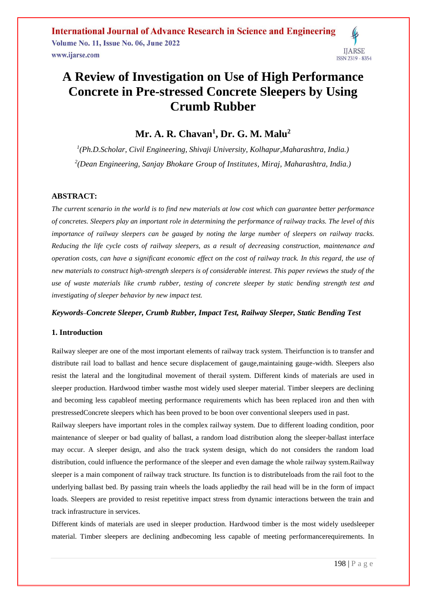## **A Review of Investigation on Use of High Performance Concrete in Pre-stressed Concrete Sleepers by Using Crumb Rubber**

### **Mr. A. R. Chavan<sup>1</sup> , Dr. G. M. Malu<sup>2</sup>**

*1 (Ph.D.Scholar, Civil Engineering, Shivaji University, Kolhapur,Maharashtra, India.) 2 (Dean Engineering, Sanjay Bhokare Group of Institutes, Miraj, Maharashtra, India.)* 

### **ABSTRACT:**

*The current scenario in the world is to find new materials at low cost which can guarantee better performance of concretes. Sleepers play an important role in determining the performance of railway tracks. The level of this importance of railway sleepers can be gauged by noting the large number of sleepers on railway tracks. Reducing the life cycle costs of railway sleepers, as a result of decreasing construction, maintenance and operation costs, can have a significant economic effect on the cost of railway track. In this regard, the use of new materials to construct high-strength sleepers is of considerable interest. This paper reviews the study of the use of waste materials like crumb rubber, testing of concrete sleeper by static bending strength test and investigating of sleeper behavior by new impact test.*

### *Keywords***–***Concrete Sleeper, Crumb Rubber, Impact Test, Railway Sleeper, Static Bending Test*

### **1. Introduction**

Railway sleeper are one of the most important elements of railway track system. Theirfunction is to transfer and distribute rail load to ballast and hence secure displacement of gauge,maintaining gauge-width. Sleepers also resist the lateral and the longitudinal movement of therail system. Different kinds of materials are used in sleeper production. Hardwood timber wasthe most widely used sleeper material. Timber sleepers are declining and becoming less capableof meeting performance requirements which has been replaced iron and then with prestressedConcrete sleepers which has been proved to be boon over conventional sleepers used in past.

Railway sleepers have important roles in the complex railway system. Due to different loading condition, poor maintenance of sleeper or bad quality of ballast, a random load distribution along the sleeper-ballast interface may occur. A sleeper design, and also the track system design, which do not considers the random load distribution, could influence the performance of the sleeper and even damage the whole railway system.Railway sleeper is a main component of railway track structure. Its function is to distributeloads from the rail foot to the underlying ballast bed. By passing train wheels the loads appliedby the rail head will be in the form of impact loads. Sleepers are provided to resist repetitive impact stress from dynamic interactions between the train and track infrastructure in services.

Different kinds of materials are used in sleeper production. Hardwood timber is the most widely usedsleeper material. Timber sleepers are declining andbecoming less capable of meeting performancerequirements. In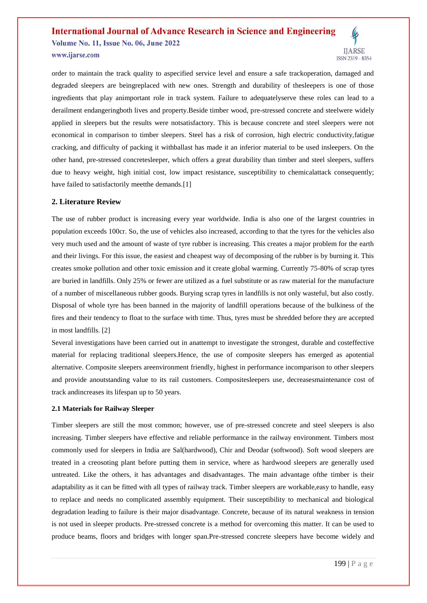## **International Journal of Advance Research in Science and Engineering Volume No. 11, Issue No. 06, June 2022**



www.ijarse.com

order to maintain the track quality to aspecified service level and ensure a safe trackoperation, damaged and degraded sleepers are beingreplaced with new ones. Strength and durability of thesleepers is one of those ingredients that play animportant role in track system. Failure to adequatelyserve these roles can lead to a derailment endangeringboth lives and property.Beside timber wood, pre-stressed concrete and steelwere widely applied in sleepers but the results were notsatisfactory. This is because concrete and steel sleepers were not economical in comparison to timber sleepers. Steel has a risk of corrosion, high electric conductivity,fatigue cracking, and difficulty of packing it withballast has made it an inferior material to be used insleepers. On the other hand, pre-stressed concretesleeper, which offers a great durability than timber and steel sleepers, suffers due to heavy weight, high initial cost, low impact resistance, susceptibility to chemicalattack consequently; have failed to satisfactorily meetthe demands.[1]

### **2. Literature Review**

The use of rubber product is increasing every year worldwide. India is also one of the largest countries in population exceeds 100cr. So, the use of vehicles also increased, according to that the tyres for the vehicles also very much used and the amount of waste of tyre rubber is increasing. This creates a major problem for the earth and their livings. For this issue, the easiest and cheapest way of decomposing of the rubber is by burning it. This creates smoke pollution and other toxic emission and it create global warming. Currently 75-80% of scrap tyres are buried in landfills. Only 25% or fewer are utilized as a fuel substitute or as raw material for the manufacture of a number of miscellaneous rubber goods. Burying scrap tyres in landfills is not only wasteful, but also costly. Disposal of whole tyre has been banned in the majority of landfill operations because of the bulkiness of the fires and their tendency to float to the surface with time. Thus, tyres must be shredded before they are accepted in most landfills. [2]

Several investigations have been carried out in anattempt to investigate the strongest, durable and costeffective material for replacing traditional sleepers.Hence, the use of composite sleepers has emerged as apotential alternative. Composite sleepers areenvironment friendly, highest in performance incomparison to other sleepers and provide anoutstanding value to its rail customers. Compositesleepers use, decreasesmaintenance cost of track andincreases its lifespan up to 50 years.

### **2.1 Materials for Railway Sleeper**

Timber sleepers are still the most common; however, use of pre-stressed concrete and steel sleepers is also increasing. Timber sleepers have effective and reliable performance in the railway environment. Timbers most commonly used for sleepers in India are Sal(hardwood), Chir and Deodar (softwood). Soft wood sleepers are treated in a creosoting plant before putting them in service, where as hardwood sleepers are generally used untreated. Like the others, it has advantages and disadvantages. The main advantage ofthe timber is their adaptability as it can be fitted with all types of railway track. Timber sleepers are workable,easy to handle, easy to replace and needs no complicated assembly equipment. Their susceptibility to mechanical and biological degradation leading to failure is their major disadvantage. Concrete, because of its natural weakness in tension is not used in sleeper products. Pre-stressed concrete is a method for overcoming this matter. It can be used to produce beams, floors and bridges with longer span.Pre-stressed concrete sleepers have become widely and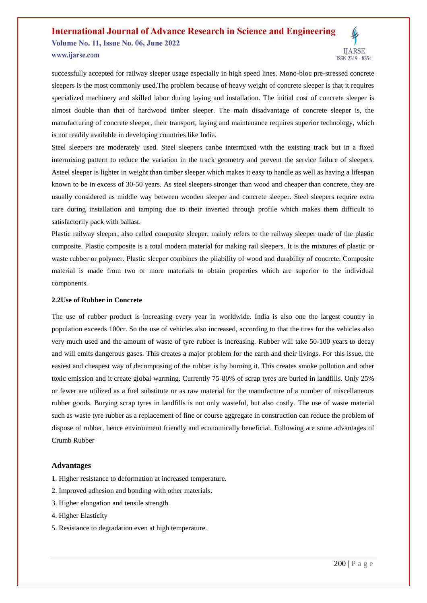# **International Journal of Advance Research in Science and Engineering**

**Volume No. 11, Issue No. 06, June 2022** www.ijarse.com



Steel sleepers are moderately used. Steel sleepers canbe intermixed with the existing track but in a fixed intermixing pattern to reduce the variation in the track geometry and prevent the service failure of sleepers. Asteel sleeper is lighter in weight than timber sleeper which makes it easy to handle as well as having a lifespan known to be in excess of 30-50 years. As steel sleepers stronger than wood and cheaper than concrete, they are usually considered as middle way between wooden sleeper and concrete sleeper. Steel sleepers require extra care during installation and tamping due to their inverted through profile which makes them difficult to satisfactorily pack with ballast.

Plastic railway sleeper, also called composite sleeper, mainly refers to the railway sleeper made of the plastic composite. Plastic composite is a total modern material for making rail sleepers. It is the mixtures of plastic or waste rubber or polymer. Plastic sleeper combines the pliability of wood and durability of concrete. Composite material is made from two or more materials to obtain properties which are superior to the individual components.

#### **2.2Use of Rubber in Concrete**

The use of rubber product is increasing every year in worldwide. India is also one the largest country in population exceeds 100cr. So the use of vehicles also increased, according to that the tires for the vehicles also very much used and the amount of waste of tyre rubber is increasing. Rubber will take 50-100 years to decay and will emits dangerous gases. This creates a major problem for the earth and their livings. For this issue, the easiest and cheapest way of decomposing of the rubber is by burning it. This creates smoke pollution and other toxic emission and it create global warming. Currently 75-80% of scrap tyres are buried in landfills. Only 25% or fewer are utilized as a fuel substitute or as raw material for the manufacture of a number of miscellaneous rubber goods. Burying scrap tyres in landfills is not only wasteful, but also costly. The use of waste material such as waste tyre rubber as a replacement of fine or course aggregate in construction can reduce the problem of dispose of rubber, hence environment friendly and economically beneficial. Following are some advantages of Crumb Rubber

### **Advantages**

- 1. Higher resistance to deformation at increased temperature.
- 2. Improved adhesion and bonding with other materials.
- 3. Higher elongation and tensile strength
- 4. Higher Elasticity
- 5. Resistance to degradation even at high temperature.

**IJARSE** 

ISSN 2319 - 8354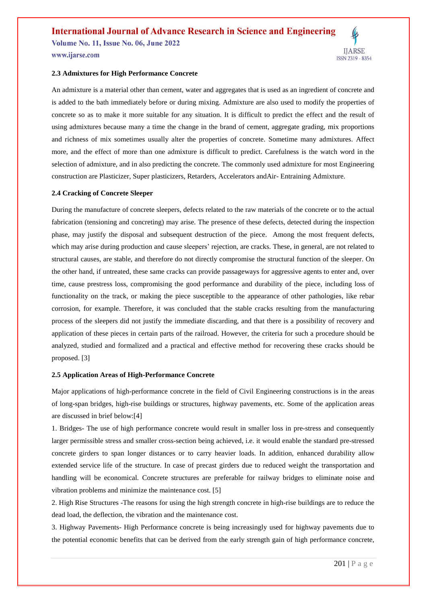### **International Journal of Advance Research in Science and Engineering**

**Volume No. 11, Issue No. 06, June 2022** www.ijarse.com



### **2.3 Admixtures for High Performance Concrete**

An admixture is a material other than cement, water and aggregates that is used as an ingredient of concrete and is added to the bath immediately before or during mixing. Admixture are also used to modify the properties of concrete so as to make it more suitable for any situation. It is difficult to predict the effect and the result of using admixtures because many a time the change in the brand of cement, aggregate grading, mix proportions and richness of mix sometimes usually alter the properties of concrete. Sometime many admixtures. Affect more, and the effect of more than one admixture is difficult to predict. Carefulness is the watch word in the selection of admixture, and in also predicting the concrete. The commonly used admixture for most Engineering construction are Plasticizer, Super plasticizers, Retarders, Accelerators andAir- Entraining Admixture.

### **2.4 Cracking of Concrete Sleeper**

During the manufacture of concrete sleepers, defects related to the raw materials of the concrete or to the actual fabrication (tensioning and concreting) may arise. The presence of these defects, detected during the inspection phase, may justify the disposal and subsequent destruction of the piece. Among the most frequent defects, which may arise during production and cause sleepers' rejection, are cracks. These, in general, are not related to structural causes, are stable, and therefore do not directly compromise the structural function of the sleeper. On the other hand, if untreated, these same cracks can provide passageways for aggressive agents to enter and, over time, cause prestress loss, compromising the good performance and durability of the piece, including loss of functionality on the track, or making the piece susceptible to the appearance of other pathologies, like rebar corrosion, for example. Therefore, it was concluded that the stable cracks resulting from the manufacturing process of the sleepers did not justify the immediate discarding, and that there is a possibility of recovery and application of these pieces in certain parts of the railroad. However, the criteria for such a procedure should be analyzed, studied and formalized and a practical and effective method for recovering these cracks should be proposed. [3]

### **2.5 Application Areas of High-Performance Concrete**

Major applications of high-performance concrete in the field of Civil Engineering constructions is in the areas of long-span bridges, high-rise buildings or structures, highway pavements, etc. Some of the application areas are discussed in brief below:[4]

1. Bridges- The use of high performance concrete would result in smaller loss in pre-stress and consequently larger permissible stress and smaller cross-section being achieved, i.e. it would enable the standard pre-stressed concrete girders to span longer distances or to carry heavier loads. In addition, enhanced durability allow extended service life of the structure. In case of precast girders due to reduced weight the transportation and handling will be economical. Concrete structures are preferable for railway bridges to eliminate noise and vibration problems and minimize the maintenance cost. [5]

2. High Rise Structures -The reasons for using the high strength concrete in high-rise buildings are to reduce the dead load, the deflection, the vibration and the maintenance cost.

3. Highway Pavements- High Performance concrete is being increasingly used for highway pavements due to the potential economic benefits that can be derived from the early strength gain of high performance concrete,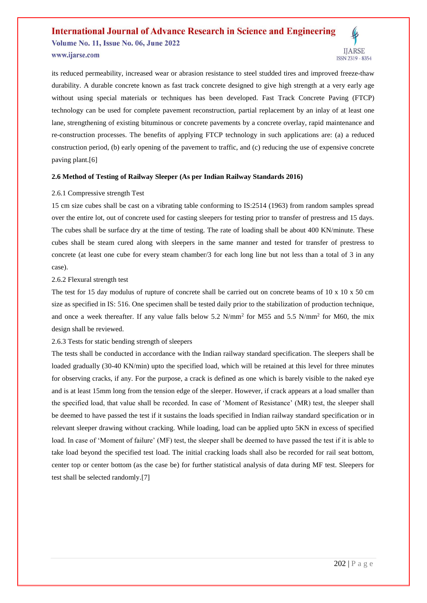### **International Journal of Advance Research in Science and Engineering Volume No. 11, Issue No. 06, June 2022**

### www.ijarse.com



### **2.6 Method of Testing of Railway Sleeper (As per Indian Railway Standards 2016)**

### 2.6.1 Compressive strength Test

15 cm size cubes shall be cast on a vibrating table conforming to IS:2514 (1963) from random samples spread over the entire lot, out of concrete used for casting sleepers for testing prior to transfer of prestress and 15 days. The cubes shall be surface dry at the time of testing. The rate of loading shall be about 400 KN/minute. These cubes shall be steam cured along with sleepers in the same manner and tested for transfer of prestress to concrete (at least one cube for every steam chamber/3 for each long line but not less than a total of 3 in any case).

### 2.6.2 Flexural strength test

The test for 15 day modulus of rupture of concrete shall be carried out on concrete beams of 10 x 10 x 50 cm size as specified in IS: 516. One specimen shall be tested daily prior to the stabilization of production technique, and once a week thereafter. If any value falls below  $5.2 \text{ N/mm}^2$  for M55 and  $5.5 \text{ N/mm}^2$  for M60, the mix design shall be reviewed.

### 2.6.3 Tests for static bending strength of sleepers

The tests shall be conducted in accordance with the Indian railway standard specification. The sleepers shall be loaded gradually (30-40 KN/min) upto the specified load, which will be retained at this level for three minutes for observing cracks, if any. For the purpose, a crack is defined as one which is barely visible to the naked eye and is at least 15mm long from the tension edge of the sleeper. However, if crack appears at a load smaller than the specified load, that value shall be recorded. In case of 'Moment of Resistance' (MR) test, the sleeper shall be deemed to have passed the test if it sustains the loads specified in Indian railway standard specification or in relevant sleeper drawing without cracking. While loading, load can be applied upto 5KN in excess of specified load. In case of 'Moment of failure' (MF) test, the sleeper shall be deemed to have passed the test if it is able to take load beyond the specified test load. The initial cracking loads shall also be recorded for rail seat bottom, center top or center bottom (as the case be) for further statistical analysis of data during MF test. Sleepers for test shall be selected randomly.[7]

**IJARSE** 

ISSN 2319 - 8354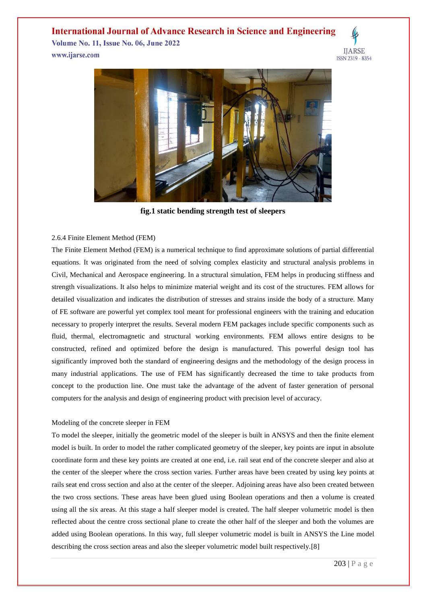### **International Journal of Advance Research in Science and Engineering**

**Volume No. 11, Issue No. 06, June 2022** www.ijarse.com





**fig.1 static bending strength test of sleepers**

### 2.6.4 Finite Element Method (FEM)

The Finite Element Method (FEM) is a numerical technique to find approximate solutions of partial differential equations. It was originated from the need of solving complex elasticity and structural analysis problems in Civil, Mechanical and Aerospace engineering. In a structural simulation, FEM helps in producing stiffness and strength visualizations. It also helps to minimize material weight and its cost of the structures. FEM allows for detailed visualization and indicates the distribution of stresses and strains inside the body of a structure. Many of FE software are powerful yet complex tool meant for professional engineers with the training and education necessary to properly interpret the results. Several modern FEM packages include specific components such as fluid, thermal, electromagnetic and structural working environments. FEM allows entire designs to be constructed, refined and optimized before the design is manufactured. This powerful design tool has significantly improved both the standard of engineering designs and the methodology of the design process in many industrial applications. The use of FEM has significantly decreased the time to take products from concept to the production line. One must take the advantage of the advent of faster generation of personal computers for the analysis and design of engineering product with precision level of accuracy.

### Modeling of the concrete sleeper in FEM

To model the sleeper, initially the geometric model of the sleeper is built in ANSYS and then the finite element model is built. In order to model the rather complicated geometry of the sleeper, key points are input in absolute coordinate form and these key points are created at one end, i.e. rail seat end of the concrete sleeper and also at the center of the sleeper where the cross section varies. Further areas have been created by using key points at rails seat end cross section and also at the center of the sleeper. Adjoining areas have also been created between the two cross sections. These areas have been glued using Boolean operations and then a volume is created using all the six areas. At this stage a half sleeper model is created. The half sleeper volumetric model is then reflected about the centre cross sectional plane to create the other half of the sleeper and both the volumes are added using Boolean operations. In this way, full sleeper volumetric model is built in ANSYS the Line model describing the cross section areas and also the sleeper volumetric model built respectively.[8]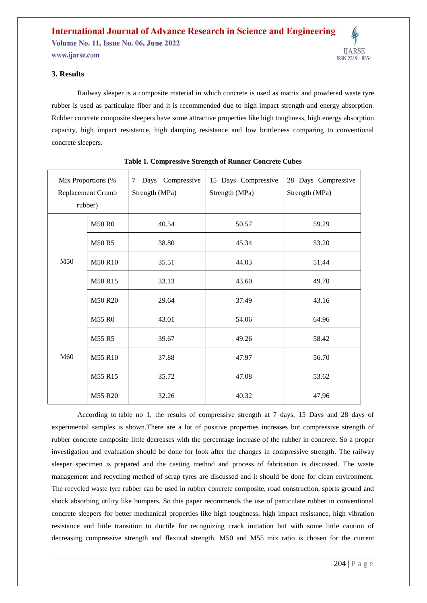

Railway sleeper is a composite material in which concrete is used as matrix and powdered waste tyre rubber is used as particulate fiber and it is recommended due to high impact strength and energy absorption. Rubber concrete composite sleepers have some attractive properties like high toughness, high energy absorption capacity, high impact resistance, high damping resistance and low brittleness comparing to conventional concrete sleepers.

| Mix Proportions (%<br>Replacement Crumb<br>rubber) |                | Days Compressive<br>7<br>Strength (MPa) | 15 Days Compressive<br>28 Days Compressive<br>Strength (MPa)<br>Strength (MPa) |       |
|----------------------------------------------------|----------------|-----------------------------------------|--------------------------------------------------------------------------------|-------|
| M50                                                | <b>M50 R0</b>  | 40.54                                   | 50.57                                                                          | 59.29 |
|                                                    | <b>M50 R5</b>  | 38.80                                   | 45.34                                                                          | 53.20 |
|                                                    | <b>M50 R10</b> | 35.51                                   | 44.03                                                                          | 51.44 |
|                                                    | M50 R15        | 33.13                                   | 43.60                                                                          | 49.70 |
|                                                    | <b>M50 R20</b> | 29.64                                   | 37.49                                                                          | 43.16 |
| M60                                                | <b>M55 R0</b>  | 43.01                                   | 54.06                                                                          | 64.96 |
|                                                    | M55 R5         | 39.67                                   | 49.26                                                                          | 58.42 |
|                                                    | M55 R10        | 37.88                                   | 47.97                                                                          | 56.70 |
|                                                    | M55 R15        | 35.72                                   | 47.08                                                                          | 53.62 |
|                                                    | M55 R20        | 32.26                                   | 40.32                                                                          | 47.96 |

| Table 1. Compressive Strength of Runner Concrete Cubes |  |  |
|--------------------------------------------------------|--|--|
|                                                        |  |  |

According to table no 1, the results of compressive strength at 7 days, 15 Days and 28 days of experimental samples is shown.There are a lot of positive properties increases but compressive strength of rubber concrete composite little decreases with the percentage increase of the rubber in concrete. So a proper investigation and evaluation should be done for look after the changes in compressive strength. The railway sleeper specimen is prepared and the casting method and process of fabrication is discussed. The waste management and recycling method of scrap tyres are discussed and it should be done for clean environment. The recycled waste tyre rubber can be used in rubber concrete composite, road construction, sports ground and shock absorbing utility like bumpers. So this paper recommends the use of particulate rubber in conventional concrete sleepers for better mechanical properties like high toughness, high impact resistance, high vibration resistance and little transition to ductile for recognizing crack initiation but with some little caution of decreasing compressive strength and flexural strength. M50 and M55 mix ratio is chosen for the current

**IJARSE**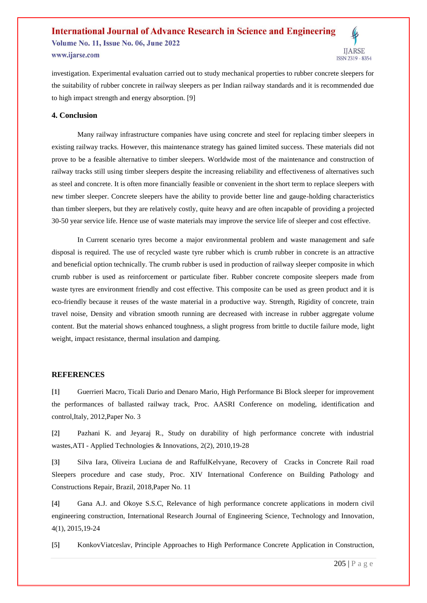#### **International Journal of Advance Research in Science and Engineering Volume No. 11, Issue No. 06, June 2022 IJARSE** www.ijarse.com ISSN 2319 - 8354

investigation. Experimental evaluation carried out to study mechanical properties to rubber concrete sleepers for the suitability of rubber concrete in railway sleepers as per Indian railway standards and it is recommended due to high impact strength and energy absorption. [9]

### **4. Conclusion**

Many railway infrastructure companies have using concrete and steel for replacing timber sleepers in existing railway tracks. However, this maintenance strategy has gained limited success. These materials did not prove to be a feasible alternative to timber sleepers. Worldwide most of the maintenance and construction of railway tracks still using timber sleepers despite the increasing reliability and effectiveness of alternatives such as steel and concrete. It is often more financially feasible or convenient in the short term to replace sleepers with new timber sleeper. Concrete sleepers have the ability to provide better line and gauge-holding characteristics than timber sleepers, but they are relatively costly, quite heavy and are often incapable of providing a projected 30-50 year service life. Hence use of waste materials may improve the service life of sleeper and cost effective.

In Current scenario tyres become a major environmental problem and waste management and safe disposal is required. The use of recycled waste tyre rubber which is crumb rubber in concrete is an attractive and beneficial option technically. The crumb rubber is used in production of railway sleeper composite in which crumb rubber is used as reinforcement or particulate fiber. Rubber concrete composite sleepers made from waste tyres are environment friendly and cost effective. This composite can be used as green product and it is eco-friendly because it reuses of the waste material in a productive way. Strength, Rigidity of concrete, train travel noise, Density and vibration smooth running are decreased with increase in rubber aggregate volume content. But the material shows enhanced toughness, a slight progress from brittle to ductile failure mode, light weight, impact resistance, thermal insulation and damping.

### **REFERENCES**

**[1]** Guerrieri Macro, Ticali Dario and Denaro Mario, High Performance Bi Block sleeper for improvement the performances of ballasted railway track, Proc. AASRI Conference on modeling, identification and control,Italy*,* 2012,Paper No. 3

**[2]** Pazhani K. and Jeyaraj R., Study on durability of high performance concrete with industrial wastes,ATI - Applied Technologies & Innovations, 2(2), 2010,19-28

**[3]** Silva Iara, Oliveira Luciana de and RaffulKelvyane, Recovery of Cracks in Concrete Rail road Sleepers procedure and case study, Proc. XIV International Conference on Building Pathology and Constructions Repair, Brazil, 2018,Paper No. 11

**[4]** Gana A.J. and Okoye S.S.C, Relevance of high performance concrete applications in modern civil engineering construction, International Research Journal of Engineering Science, Technology and Innovation, 4(1), 2015,19-24

**[5]** KonkovViatceslav, Principle Approaches to High Performance Concrete Application in Construction,